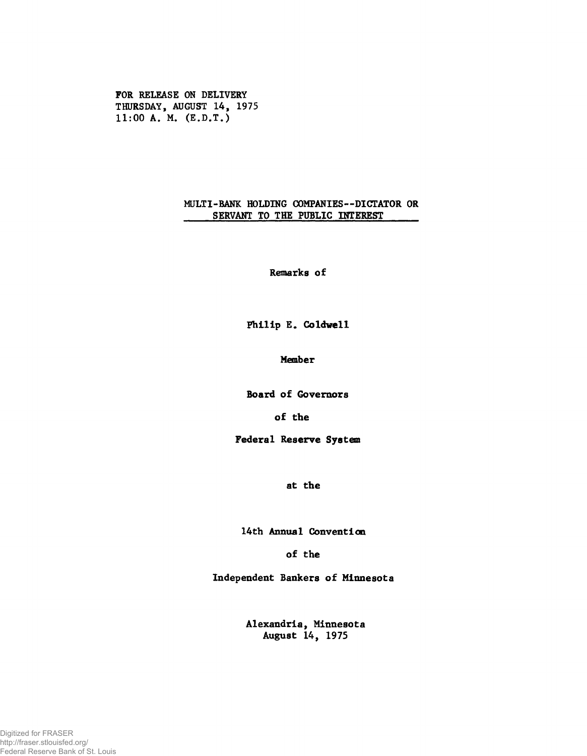**FOR RELEASE ON DELIVERY THURSDAY, AUGUST 14, 1975 11:00 A. M. (E.D.T.)**

## **MULTI-BANK HOLDING COMPANIES— DICTATOR OR** SERVANT TO THE PUBLIC INTEREST

**Remarks of**

**Philip E. Coldvell**

**Member**

**Board of Governors**

**of the**

**Federal Reserve System**

**at the**

**14th Annual Convention**

**of the**

**Independent Bankers of Minnesota**

**Alexandria, Minnesota August 14, 1975**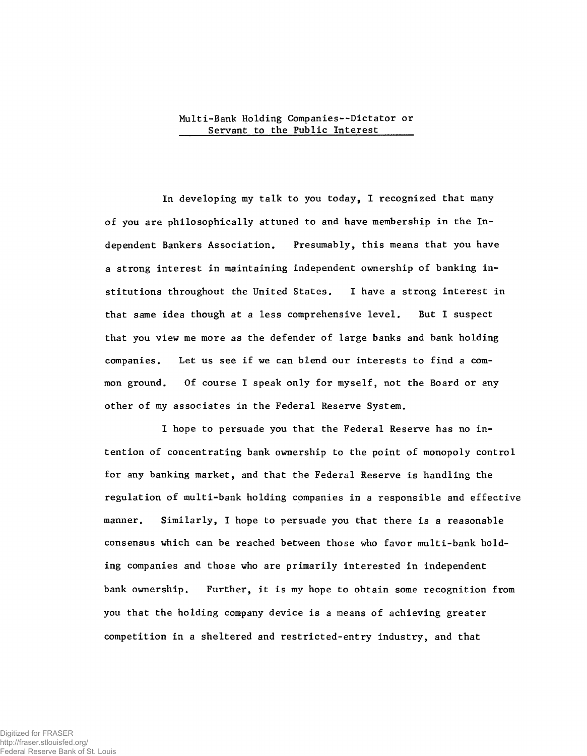## **Multi-Bank Holding Companies--Dictator or** Servant to the Public Interest

**In developing my talk to you today, I recognized that many of you are philosophically attuned to and have membership in the Independent Bankers Association. Presumably, this means that you have a strong interest in maintaining independent ownership of banking institutions throughout the United States. I have a strong interest in that same idea though at a less comprehensive level. But I suspect that you view me more as the defender of large banks and bank holding companies. Let us see if we can blend our interests to find a common ground. Of course I speak only for myself, not the Board or any other of my associates in the Federal Reserve System.**

**I hope to persuade you that the Federal Reserve has no intention of concentrating bank ownership to the point of monopoly control for any banking market, and that the Federal Reserve is handling the regulation of multi-bank holding companies in a responsible and effective manner. Similarly, I hope to persuade you that there is a reasonable consensus which can be reached between those who favor multi-bank holding companies and those who are primarily interested in independent bank ownership. Further, it is my hope to obtain some recognition from you that the holding company device is a means of achieving greater competition in a sheltered and restricted-entry industry, and that**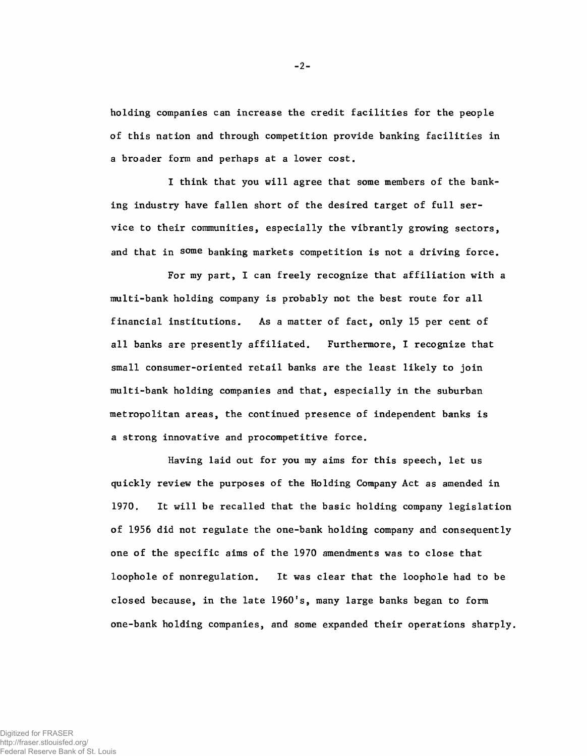**holding companies can increase the credit facilities for the people of this nation and through competition provide banking facilities in a broader form and perhaps at a lower cost.**

**I think that you will agree that some members of the banking industry have fallen short of the desired target of full service to their communities, especially the vibrantly growing sectors, and that in some banking markets competition is not a driving force.**

**For my part, I can freely recognize that affiliation with a multi-bank holding company is probably not the best route for all financial institutions. As a matter of fact, only 15 per cent of all banks are presently affiliated. Furthermore, I recognize that small consumer-oriented retail banks are the least likely to join multi-bank holding companies and that, especially in the suburban metropolitan areas, the continued presence of independent banks is a strong innovative and procompetitive force.**

**Having laid out for you my aims for this speech, let us quickly review the purposes of the Holding Company Act as amended in 1970. It will be recalled that the basic holding company legislation of 1956 did not regulate the one-bank holding company and consequently one of the specific aims of the 1970 amendments was to close that loophole of nonregulation. It was clear that the loophole had to be closed because, in the late 1960!s, many large banks began to form one-bank holding companies, and some expanded their operations sharply.**

-2-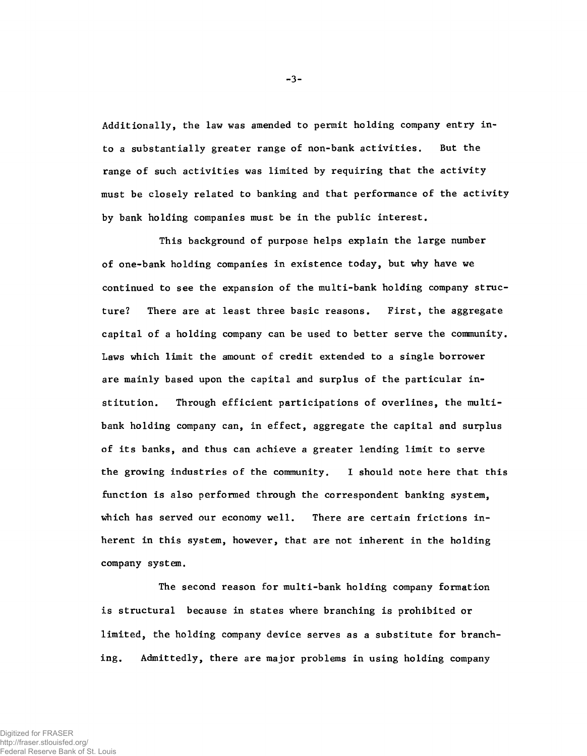**Additionally, the law was amended to permit holding company entry into a substantially greater range of non-bank activities. But the range of such activities was limited by requiring that the activity must be closely related to banking and that performance of the activity by bank holding companies must be in the public interest.**

**This background of purpose helps explain the large number of one-bank holding companies in existence today, but why have we continued to see the expansion of the multi-bank holding company structure? There are at least three basic reasons. First, the aggregate capital of a holding company can be used to better serve the community. Laws which limit the amount of credit extended to a single borrower are mainly based upon the capital and surplus of the particular institution. Through efficient participations of overlines, the multibank holding company can, in effect, aggregate the capital and surplus of its banks, and thus can achieve a greater lending limit to serve the growing industries of the community. I should note here that this function is also performed through the correspondent banking system, which has served our economy well. There are certain frictions inherent in this system, however, that are not inherent in the holding company system.**

**The second reason for multi-bank holding company formation is structural because in states where branching is prohibited or limited, the holding company device serves as a substitute for branching. Admittedly, there are major problems in using holding company**

-3-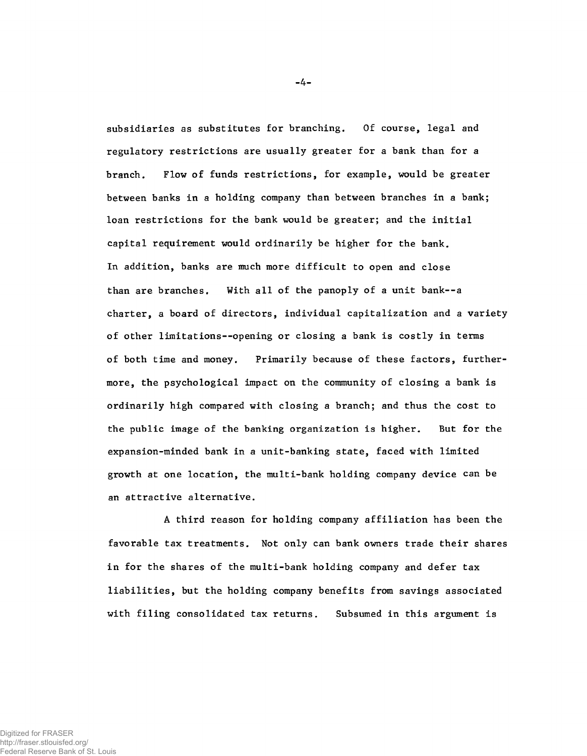**subsidiaries as substitutes for branching. Of course, legal and regulatory restrictions are usually greater for a bank than for a branch. Flow of funds restrictions, for example, would be greater between banks in a holding company than between branches in a bank; loan restrictions for the bank would be greater; and the initial capital requirement would ordinarily be higher for the bank. In addition, banks are much more difficult to open and close than are branches. With all of the panoply of a unit bank--a charter, a board of directors, individual capitalization and a variety of other limitations— opening or closing a bank is costly in terms of both time and money. Primarily because of these factors, furthermore, the psychological impact on the community of closing a bank is ordinarily high compared with closing a branch; and thus the cost to the public image of the banking organization is higher. But for the expansion-minded bank in a unit-banking state, faced with limited growth at one location, the multi-bank holding company device can be an attractive alternative.**

**A third reason for holding company affiliation has been the favorable tax treatments. Not only can bank owners trade their shares in for the shares of the multi-bank holding company and defer tax liabilities, but the holding company benefits from savings associated with filing consolidated tax returns. Subsumed in this argument is**

-4-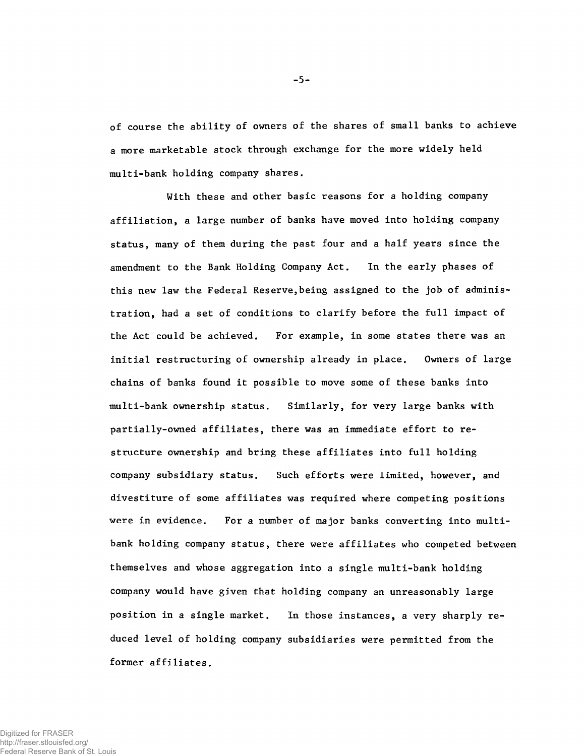**of course the ability of owners of the shares of small banks to achieve a more marketable stock through exchange for the more widely held multi-bank holding company shares.**

**With these and other basic reasons for a holding company affiliation, a large number of banks have moved into holding company status, many of them during the past four and a half years since the amendment to the Bank Holding Company Act. In the early phases of this new law the Federal Reserve,being assigned to the job of administration, had a set of conditions to clarify before the full impact of the Act could be achieved. For example, in some states there was an initial restructuring of ownership already in place. Owners of large chains of banks found it possible to move some of these banks into multi-bank ownership status. Similarly, for very large banks with partially-owned affiliates, there was an immediate effort to restructure ownership and bring these affiliates into full holding company subsidiary status. Such efforts were limited, however, and divestiture of some affiliates was required where competing positions were in evidence. For a number of major banks converting into multibank holding company status, there were affiliates who competed between themselves and whose aggregation into a single multi-bank holding company would have given that holding company an unreasonably large position in a single market. In those instances, a very sharply reduced level of holding company subsidiaries were permitted from the former affiliates.**

-5-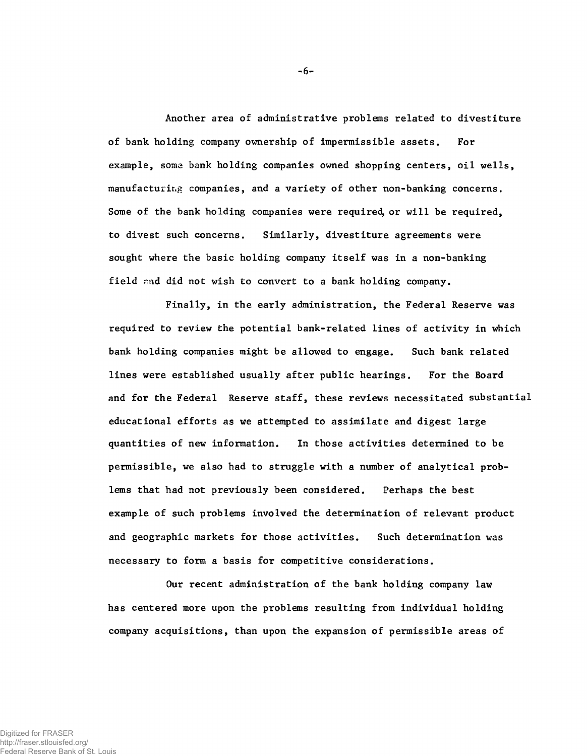**Another area of administrative problems related to divestiture of bank holding company ownership of impermissible assets. For example, some bank holding companies owned shopping centers, oil wells, manufacturing companies, and a variety of other non-banking concerns. Some of the bank holding companies were required, or will be required, to divest such concerns. Similarly, divestiture agreements were sought where the basic holding company itself was in a non-banking field ¿nid did not wish to convert to a bank holding company.**

**Finally, in the early administration, the Federal Reserve was required to review the potential bank-related lines of activity in which bank holding companies might be allowed to engage. Such bank related lines were established usually after public hearings. For the Board and for the Federal Reserve staff, these reviews necessitated substantial educational efforts as we attempted to assimilate and digest large quantities of new information. In those activities determined to be permissible, we also had to struggle with a number of analytical problems that had not previously been considered. Perhaps the best example of such problems involved the determination of relevant product and geographic markets for those activities. Such determination was necessary to form a basis for competitive considerations.**

**Our recent administration of the bank holding company law has centered more upon the problems resulting from individual holding company acquisitions, than upon the expansion of permissible areas of**

-6-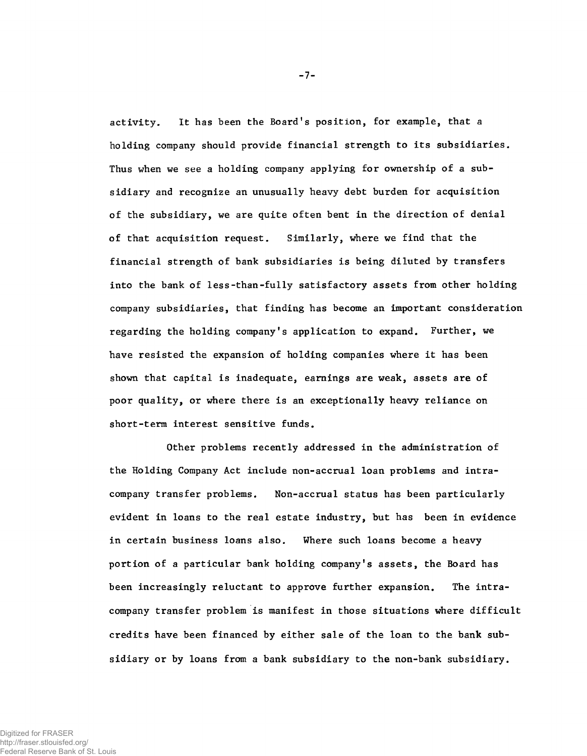**activity. It has been the Board's position, for example, that a holding company should provide financial strength to its subsidiaries. Thus when we see a holding company applying for ownership of a subsidiary and recognize an unusually heavy debt burden for acquisition of the subsidiary, we are quite often bent in the direction of denial of that acquisition request. Similarly, where we find that the financial strength of bank subsidiaries is being diluted by transfers into the bank of less-than-fully satisfactory assets from other holding company subsidiaries, that finding has become an important consideration regarding the holding company's application to expand. Further, we have resisted the expansion of holding companies where it has been shown that capital is inadequate, earnings are weak, assets are of poor quality, or where there is an exceptionally heavy reliance on short-term interest sensitive funds.**

**Other problems recently addressed in the administration of the Holding Company Act include non-accrual loan problems and intracompany transfer problems. Non-accrual status has been particularly evident in loans to the real estate industry, but has been in evidence in certain business loans also. Where such loans become a heavy portion of a particular bank holding company's assets, the Board has been increasingly reluctant to approve further expansion. The intracompany transfer problem is manifest in those situations where difficult credits have been financed by either sale of the loan to the bank subsidiary or by loans from a bank subsidiary to the non-bank subsidiary.**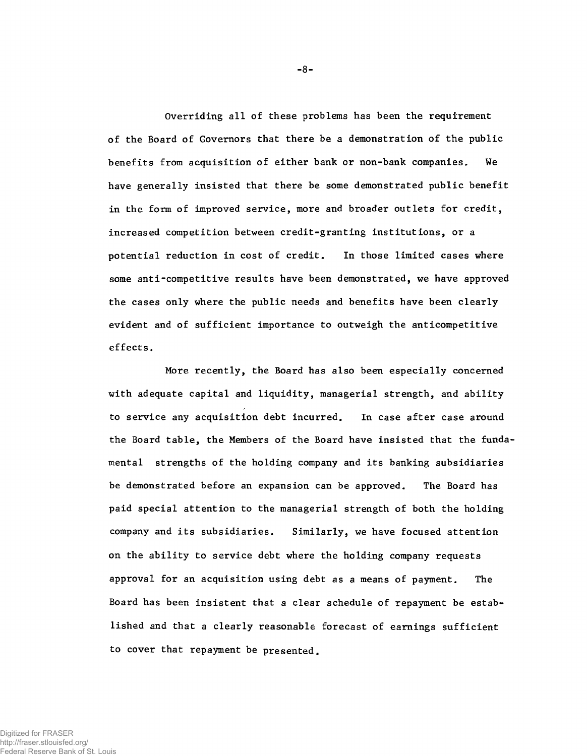**Overriding all of these problems has been the requirement of the Board of Governors that there be a demonstration of the public benefits from acquisition of either bank or non-bank companies. We have generally insisted that there be some demonstrated public benefit in the form of improved service, more and broader outlets for credit, increased competition between credit-granting institutions, or a potential reduction in cost of credit. In those limited cases where some anti-competitive results have been demonstrated, we have approved the cases only where the public needs and benefits have been clearly evident and of sufficient importance to outweigh the anticompetitive effects.**

**More recently, the Board has also been especially concerned with adequate capital and liquidity, managerial strength, and ability to service any acquisition debt incurred. In case after case around the Board table, the Members of the Board have insisted that the fundamental strengths of the holding company and its banking subsidiaries be demonstrated before an expansion can be approved. The Board has paid special attention to the managerial strength of both the holding company and its subsidiaries. Similarly, we have focused attention on the ability to service debt where the holding company requests approval for an acquisition using debt as a means of payment. The Board has been insistent that a clear schedule of repayment be established and that a clearly reasonable forecast of earnings sufficient to cover that repayment be presented.**

-8-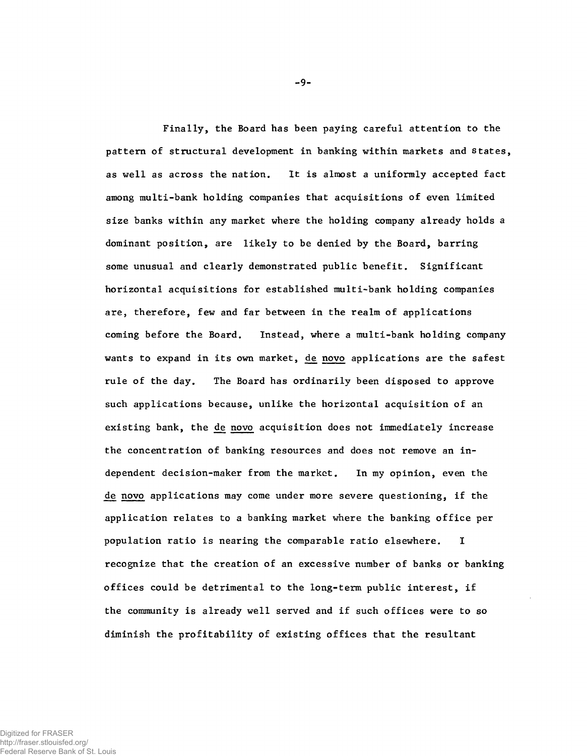**Finally, the Board has been paying careful attention to the pattern of structural development in banking within markets and states, as well as across the nation. It is almost a uniformly accepted fact among multi-bank holding companies that acquisitions of even limited size banks within any market where the holding company already holds a dominant position, are likely to be denied by the Board, barring some unusual and clearly demonstrated public benefit. Significant horizontal acquisitions for established multi-bank holding companies are, therefore, few and far between in the realm of applications coming before the Board. Instead, where a multi-bank holding company** wants to expand in its own market, de novo applications are the safest **rule of the day. The Board has ordinarily been disposed to approve such applications because, unlike the horizontal acquisition of an existing bank, the d¿ novo acquisition does not immediately increase the concentration of banking resources and does not remove an independent decision-maker from the market. In my opinion, even the de novo applications may come under more severe questioning, if the application relates to a banking market where the banking office per population ratio is nearing the comparable ratio elsewhere. I recognize that the creation of an excessive number of banks or banking offices could be detrimental to the long-term public interest, if the community is already well served and if such offices were to so diminish the profitability of existing offices that the resultant**

**-** 9**-**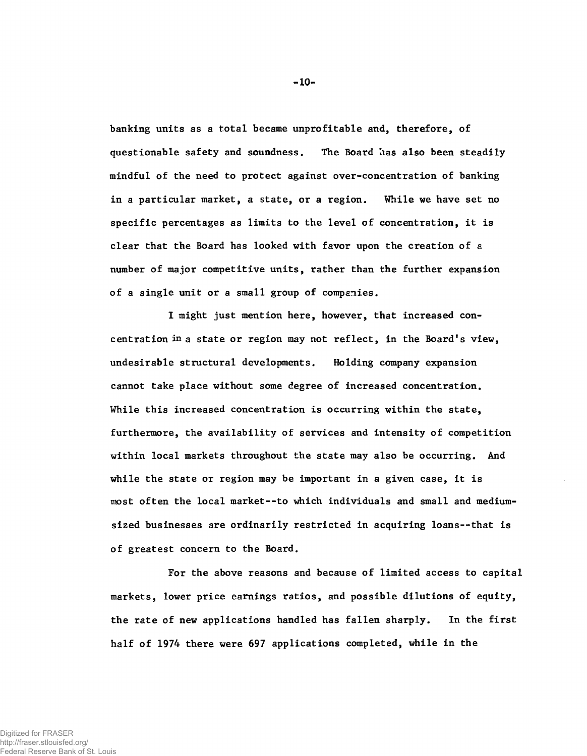**banking units as a total became unprofitable and, therefore, of questionable safety and soundness. The Board lias also been steadily mindful of the need to protect against over-concentration of banking in a particular market, a state, or a region. While we have set no specific percentages as limits to the level of concentration, it is clear that the Board has looked with favor upon the creation of a number of major competitive units, rather than the further expansion of a single unit or a small group of companies.**

**I might just mention here, however, that increased concentration in a state or region may not reflect, in the Board's view, undesirable structural developments. Holding company expansion cannot take place without some degree of increased concentration. While this increased concentration is occurring within the state, furthermore, the availability of services and intensity of competition within local markets throughout the state may also be occurring. And while the state or region may be important in a given case, it is most often the local market--to which individuals and small and mediumsized businesses are ordinarily restricted in acquiring loans— that is of greatest concern to the Board.**

**For the above reasons and because of limited access to capital markets, lower price earnings ratios, and possible dilutions of equity, the rate of new applications handled has fallen sharply. In the first half of 1974 there were 697 applications completed, while in the**

**- 10-**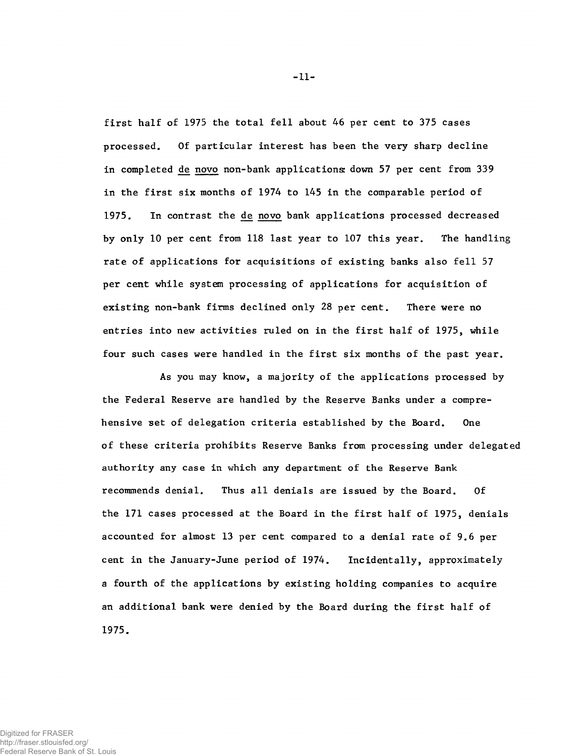**first half of 1975 the total fell about 46 per cent to 375 cases processed. Of particular interest has been the very sharp decline** in completed de novo non-bank applications: down 57 per cent from 339 **in the first six months of 1974 to 145 in the comparable period of 1975. In contrast the de novo bank applications processed decreased by only 10 per cent from 118 last year to 107 this year. The handling rate of applications for acquisitions of existing banks also fell 57 per cent while system processing of applications for acquisition of existing non-bank firms declined only 28 per cent. There were no entries into new activities ruled on in the first half of 1975, while four such cases were handled in the first six months of the past year.**

**As you may know, a majority of the applications processed by the Federal Reserve are handled by the Reserve Banks under a comprehensive set of delegation criteria established by the Board. One of these criteria prohibits Reserve Banks from processing under delegated authority any case in which any department of the Reserve Bank recommends denial. Thus all denials are issued by the Board. Of the 171 cases processed at the Board in the first half of 1975, denials accounted for almost 13 per cent compared to a denial rate of 9.6 per cent in the January-June period of 1974. Incidentally, approximately a fourth of the applications by existing holding companies to acquire an additional bank were denied by the Board during the first half of 1975.**

**- 11-**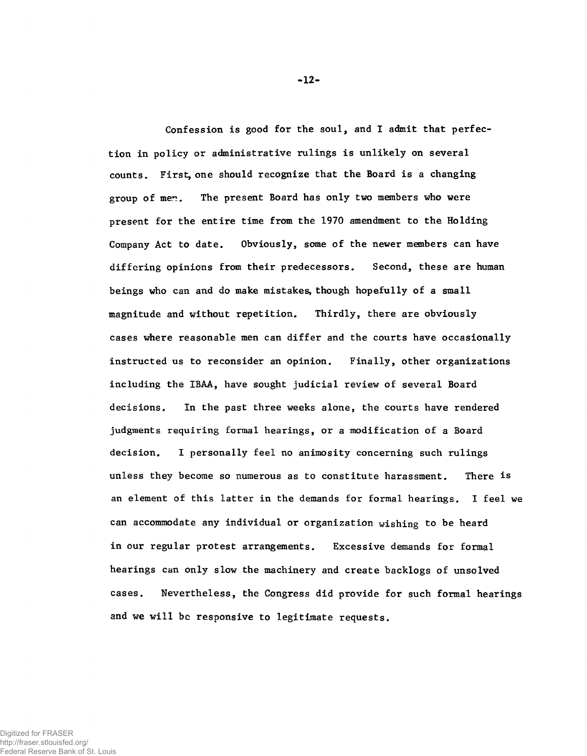**Confession is good for the soul, and I admit that perfection in policy or administrative rulings is unlikely on several counts. First, one should recognize that the Board is a changing** group of men. The present Board has only two members who were **present for the entire time from the 1970 amendment to the Holding Company Act to date. Obviously, some of the newer members can have differing opinions from their predecessors. Second, these are human beings who can and do make mistakes, though hopefully of a small magnitude and without repetition. Thirdly, there are obviously cases where reasonable men can differ and the courts have occasionally instructed us to reconsider an opinion. Finally, other organizations including the IBAA, have sought judicial review of several Board decisions. In the past three weeks alone, the courts have rendered judgments requiring formal hearings, or a modification of a Board decision. I personally feel no animosity concerning such rulings unless they become so numerous as to constitute harassment. There is an element of this latter in the demands for formal hearings. I feel we can accommodate any individual or organization wishing to be heard in our regular protest arrangements. Excessive demands for formal hearings can only slow the machinery and create backlogs of unsolved cases. Nevertheless, the Congress did provide for such formal hearings and we will be responsive to legitimate requests.**

Digitized for FRASER http://fraser.stlouisfed.org/ Federal Reserve Bank of St. Louis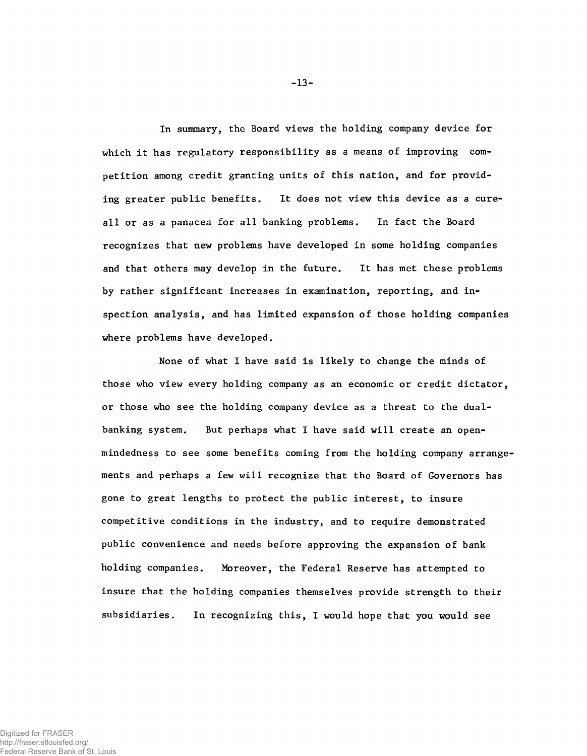**In summary, the Board views the holding company device for which it has regulatory responsibility as a means of improving competition among credit granting units of this nation, and for providing greater public benefits. It does not view this device as a cureall or as a panacea for all banking problems. In fact the Board recognizes that new problems have developed in some holding companies and that others may develop in the future. It has met these problems by rather significant increases in examination, reporting, and inspection analysis, and has limited expansion of those holding companies where problems have developed.**

**None of what I have said is likely to change the minds of those who view every holding company as an economic or credit dictator, or those who see the holding company device as a threat to the dualbanking system. But perhaps what I have said will create an openmindedness to see some benefits coming from the holding company arrangements and perhaps a few will recognize that the Board of Governors has gone to great lengths to protect the public interest, to insure competitive conditions in the industry, and to require demonstrated public convenience and needs before approving the expansion of bank holding companies. Moreover, the Federal Reserve has attempted to insure that the holding companies themselves provide strength to their subsidiaries. In recognizing this, I would hope that you would see**

-13-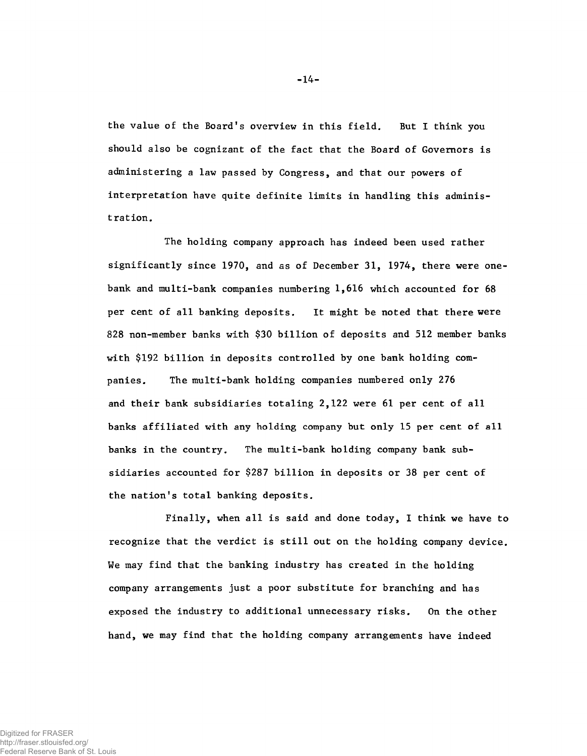**the value of the Board's overview in this field. But I think you should also be cognizant of the fact that the Board of Governors is administering a law passed by Congress, and that our powers of interpretation have quite definite limits in handling this administration.**

**The holding company approach has indeed been used rather significantly since 1970, and as of December 31, 1974, there were onebank and multi-bank companies numbering 1,616 which accounted for 68 per cent of all banking deposits. It might be noted that there were 828 non-member banks with \$30 billion of deposits and 512 member banks with \$192 billion in deposits controlled by one bank holding companies. The multi-bank holding companies numbered only 276 and their bank subsidiaries totaling 2,122 were 61 per cent of all banks affiliated with any holding company but only 15 per cent of all banks in the country. The multi-bank holding company bank subsidiaries accounted for \$287 billion in deposits or 38 per cent of** the nation's total banking deposits.

**Finally, when all is said and done today, I think we have to recognize that the verdict is still out on the holding company device. We may find that the banking industry has created in the holding company arrangements just a poor substitute for branching and has exposed the industry to additional unnecessary risks. On the other hand, we may find that the holding company arrangements have indeed**

-14-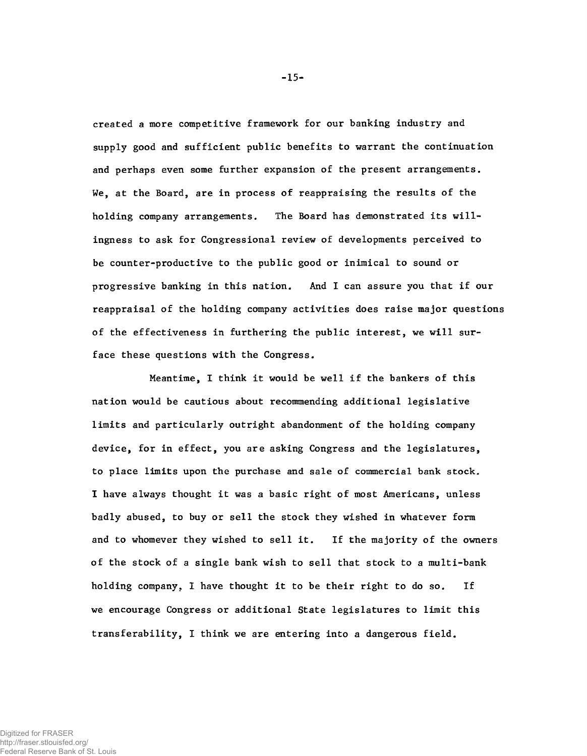**created a more competitive framework for our banking industry and supply good and sufficient public benefits to warrant the continuation and perhaps even some further expansion of the present arrangements. We, at the Board, are in process of reappraising the results of the holding company arrangements. The Board has demonstrated its willingness to ask for Congressional review of developments perceived to be counter-productive to the public good or inimical to sound or progressive banking in this nation. And I can assure you that if our reappraisal of the holding company activities does raise major questions of the effectiveness in furthering the public interest, we will surface these questions with the Congress.**

**Meantime, I think it would be well if the bankers of this nation would be cautious about recommending additional legislative limits and particularly outright abandonment of the holding company device, for in effect, you are asking Congress and the legislatures, to place limits upon the purchase and sale of commercial bank stock. I have always thought it was a basic right of most Americans, unless badly abused, to buy or sell the stock they wished in whatever form and to whomever they wished to sell it. If the majority of the owners of the stock of a single bank wish to sell that stock to a multi-bank holding company, I have thought it to be their right to do so. If we encourage Congress or additional State legislatures to limit this transferability, I think we are entering into a dangerous field.**

-15-